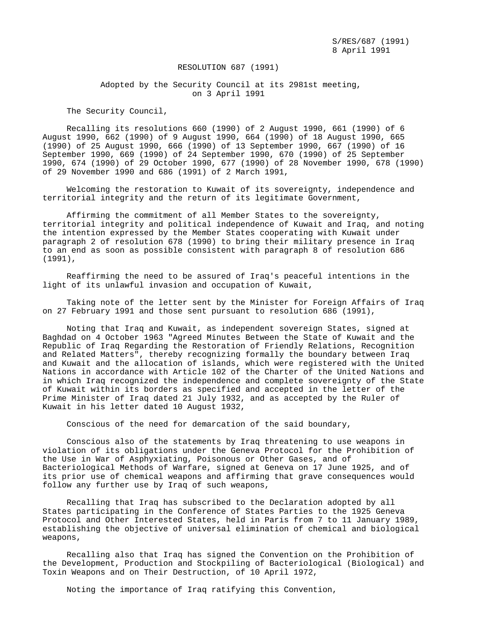RESOLUTION 687 (1991)

 Adopted by the Security Council at its 2981st meeting, on 3 April 1991

The Security Council,

 Recalling its resolutions 660 (1990) of 2 August 1990, 661 (1990) of 6 August 1990, 662 (1990) of 9 August 1990, 664 (1990) of 18 August 1990, 665 (1990) of 25 August 1990, 666 (1990) of 13 September 1990, 667 (1990) of 16 September 1990, 669 (1990) of 24 September 1990, 670 (1990) of 25 September 1990, 674 (1990) of 29 October 1990, 677 (1990) of 28 November 1990, 678 (1990) of 29 November 1990 and 686 (1991) of 2 March 1991,

 Welcoming the restoration to Kuwait of its sovereignty, independence and territorial integrity and the return of its legitimate Government,

 Affirming the commitment of all Member States to the sovereignty, territorial integrity and political independence of Kuwait and Iraq, and noting the intention expressed by the Member States cooperating with Kuwait under paragraph 2 of resolution 678 (1990) to bring their military presence in Iraq to an end as soon as possible consistent with paragraph 8 of resolution 686 (1991),

 Reaffirming the need to be assured of Iraq's peaceful intentions in the light of its unlawful invasion and occupation of Kuwait,

 Taking note of the letter sent by the Minister for Foreign Affairs of Iraq on 27 February 1991 and those sent pursuant to resolution 686 (1991),

 Noting that Iraq and Kuwait, as independent sovereign States, signed at Baghdad on 4 October 1963 "Agreed Minutes Between the State of Kuwait and the Republic of Iraq Regarding the Restoration of Friendly Relations, Recognition and Related Matters", thereby recognizing formally the boundary between Iraq and Kuwait and the allocation of islands, which were registered with the United Nations in accordance with Article 102 of the Charter of the United Nations and in which Iraq recognized the independence and complete sovereignty of the State of Kuwait within its borders as specified and accepted in the letter of the Prime Minister of Iraq dated 21 July 1932, and as accepted by the Ruler of Kuwait in his letter dated 10 August 1932,

Conscious of the need for demarcation of the said boundary,

 Conscious also of the statements by Iraq threatening to use weapons in violation of its obligations under the Geneva Protocol for the Prohibition of the Use in War of Asphyxiating, Poisonous or Other Gases, and of Bacteriological Methods of Warfare, signed at Geneva on 17 June 1925, and of its prior use of chemical weapons and affirming that grave consequences would follow any further use by Iraq of such weapons,

 Recalling that Iraq has subscribed to the Declaration adopted by all States participating in the Conference of States Parties to the 1925 Geneva Protocol and Other Interested States, held in Paris from 7 to 11 January 1989, establishing the objective of universal elimination of chemical and biological weapons,

 Recalling also that Iraq has signed the Convention on the Prohibition of the Development, Production and Stockpiling of Bacteriological (Biological) and Toxin Weapons and on Their Destruction, of 10 April 1972,

Noting the importance of Iraq ratifying this Convention,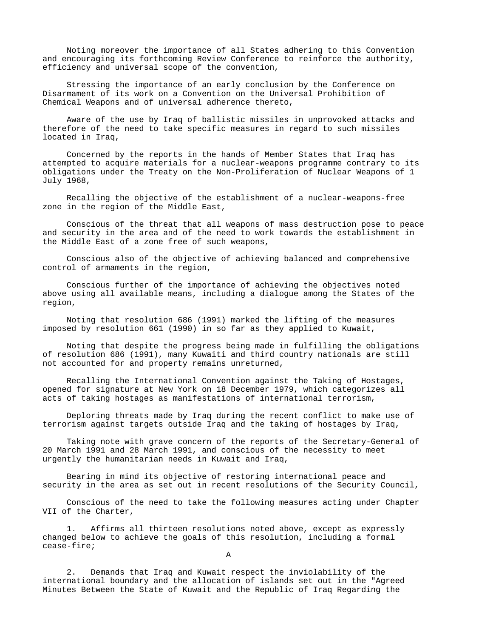Noting moreover the importance of all States adhering to this Convention and encouraging its forthcoming Review Conference to reinforce the authority, efficiency and universal scope of the convention,

 Stressing the importance of an early conclusion by the Conference on Disarmament of its work on a Convention on the Universal Prohibition of Chemical Weapons and of universal adherence thereto,

 Aware of the use by Iraq of ballistic missiles in unprovoked attacks and therefore of the need to take specific measures in regard to such missiles located in Iraq,

 Concerned by the reports in the hands of Member States that Iraq has attempted to acquire materials for a nuclear-weapons programme contrary to its obligations under the Treaty on the Non-Proliferation of Nuclear Weapons of 1 July 1968,

 Recalling the objective of the establishment of a nuclear-weapons-free zone in the region of the Middle East,

 Conscious of the threat that all weapons of mass destruction pose to peace and security in the area and of the need to work towards the establishment in the Middle East of a zone free of such weapons,

 Conscious also of the objective of achieving balanced and comprehensive control of armaments in the region,

 Conscious further of the importance of achieving the objectives noted above using all available means, including a dialogue among the States of the region,

 Noting that resolution 686 (1991) marked the lifting of the measures imposed by resolution 661 (1990) in so far as they applied to Kuwait,

 Noting that despite the progress being made in fulfilling the obligations of resolution 686 (1991), many Kuwaiti and third country nationals are still not accounted for and property remains unreturned,

 Recalling the International Convention against the Taking of Hostages, opened for signature at New York on 18 December 1979, which categorizes all acts of taking hostages as manifestations of international terrorism,

 Deploring threats made by Iraq during the recent conflict to make use of terrorism against targets outside Iraq and the taking of hostages by Iraq,

 Taking note with grave concern of the reports of the Secretary-General of 20 March 1991 and 28 March 1991, and conscious of the necessity to meet urgently the humanitarian needs in Kuwait and Iraq,

 Bearing in mind its objective of restoring international peace and security in the area as set out in recent resolutions of the Security Council,

 Conscious of the need to take the following measures acting under Chapter VII of the Charter,

 1. Affirms all thirteen resolutions noted above, except as expressly changed below to achieve the goals of this resolution, including a formal cease-fire;

A

 2. Demands that Iraq and Kuwait respect the inviolability of the international boundary and the allocation of islands set out in the "Agreed Minutes Between the State of Kuwait and the Republic of Iraq Regarding the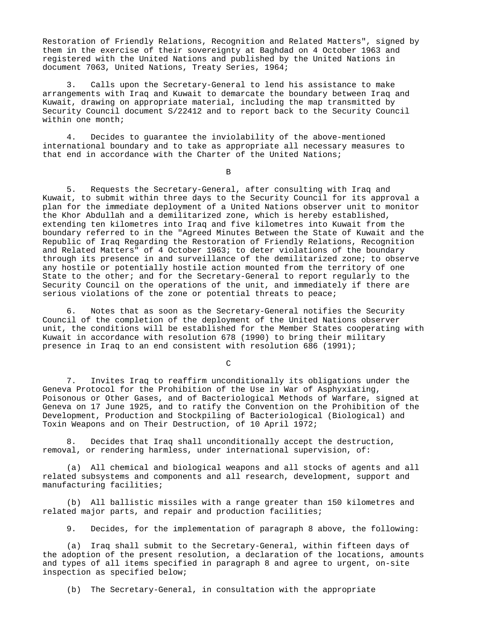Restoration of Friendly Relations, Recognition and Related Matters", signed by them in the exercise of their sovereignty at Baghdad on 4 October 1963 and registered with the United Nations and published by the United Nations in document 7063, United Nations, Treaty Series, 1964;

 3. Calls upon the Secretary-General to lend his assistance to make arrangements with Iraq and Kuwait to demarcate the boundary between Iraq and Kuwait, drawing on appropriate material, including the map transmitted by Security Council document S/22412 and to report back to the Security Council within one month;

 4. Decides to guarantee the inviolability of the above-mentioned international boundary and to take as appropriate all necessary measures to that end in accordance with the Charter of the United Nations;

**B** 

 5. Requests the Secretary-General, after consulting with Iraq and Kuwait, to submit within three days to the Security Council for its approval a plan for the immediate deployment of a United Nations observer unit to monitor the Khor Abdullah and a demilitarized zone, which is hereby established, extending ten kilometres into Iraq and five kilometres into Kuwait from the boundary referred to in the "Agreed Minutes Between the State of Kuwait and the Republic of Iraq Regarding the Restoration of Friendly Relations, Recognition and Related Matters" of 4 October 1963; to deter violations of the boundary through its presence in and surveillance of the demilitarized zone; to observe any hostile or potentially hostile action mounted from the territory of one State to the other; and for the Secretary-General to report regularly to the Security Council on the operations of the unit, and immediately if there are serious violations of the zone or potential threats to peace;

 6. Notes that as soon as the Secretary-General notifies the Security Council of the completion of the deployment of the United Nations observer unit, the conditions will be established for the Member States cooperating with Kuwait in accordance with resolution 678 (1990) to bring their military presence in Iraq to an end consistent with resolution 686 (1991);

**C** 

 7. Invites Iraq to reaffirm unconditionally its obligations under the Geneva Protocol for the Prohibition of the Use in War of Asphyxiating, Poisonous or Other Gases, and of Bacteriological Methods of Warfare, signed at Geneva on 17 June 1925, and to ratify the Convention on the Prohibition of the Development, Production and Stockpiling of Bacteriological (Biological) and Toxin Weapons and on Their Destruction, of 10 April 1972;

 8. Decides that Iraq shall unconditionally accept the destruction, removal, or rendering harmless, under international supervision, of:

 (a) All chemical and biological weapons and all stocks of agents and all related subsystems and components and all research, development, support and manufacturing facilities;

 (b) All ballistic missiles with a range greater than 150 kilometres and related major parts, and repair and production facilities;

9. Decides, for the implementation of paragraph 8 above, the following:

 (a) Iraq shall submit to the Secretary-General, within fifteen days of the adoption of the present resolution, a declaration of the locations, amounts and types of all items specified in paragraph 8 and agree to urgent, on-site inspection as specified below;

(b) The Secretary-General, in consultation with the appropriate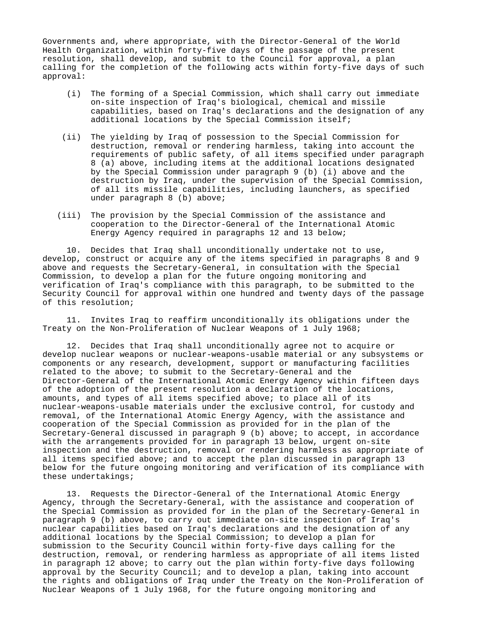Governments and, where appropriate, with the Director-General of the World Health Organization, within forty-five days of the passage of the present resolution, shall develop, and submit to the Council for approval, a plan calling for the completion of the following acts within forty-five days of such approval:

- (i) The forming of a Special Commission, which shall carry out immediate on-site inspection of Iraq's biological, chemical and missile capabilities, based on Iraq's declarations and the designation of any additional locations by the Special Commission itself;
- (ii) The yielding by Iraq of possession to the Special Commission for destruction, removal or rendering harmless, taking into account the requirements of public safety, of all items specified under paragraph 8 (a) above, including items at the additional locations designated by the Special Commission under paragraph 9 (b) (i) above and the destruction by Iraq, under the supervision of the Special Commission, of all its missile capabilities, including launchers, as specified under paragraph 8 (b) above;
- (iii) The provision by the Special Commission of the assistance and cooperation to the Director-General of the International Atomic Energy Agency required in paragraphs 12 and 13 below;

 10. Decides that Iraq shall unconditionally undertake not to use, develop, construct or acquire any of the items specified in paragraphs 8 and 9 above and requests the Secretary-General, in consultation with the Special Commission, to develop a plan for the future ongoing monitoring and verification of Iraq's compliance with this paragraph, to be submitted to the Security Council for approval within one hundred and twenty days of the passage of this resolution;

 11. Invites Iraq to reaffirm unconditionally its obligations under the Treaty on the Non-Proliferation of Nuclear Weapons of 1 July 1968;

 12. Decides that Iraq shall unconditionally agree not to acquire or develop nuclear weapons or nuclear-weapons-usable material or any subsystems or components or any research, development, support or manufacturing facilities related to the above; to submit to the Secretary-General and the Director-General of the International Atomic Energy Agency within fifteen days of the adoption of the present resolution a declaration of the locations, amounts, and types of all items specified above; to place all of its nuclear-weapons-usable materials under the exclusive control, for custody and removal, of the International Atomic Energy Agency, with the assistance and cooperation of the Special Commission as provided for in the plan of the Secretary-General discussed in paragraph 9 (b) above; to accept, in accordance with the arrangements provided for in paragraph 13 below, urgent on-site inspection and the destruction, removal or rendering harmless as appropriate of all items specified above; and to accept the plan discussed in paragraph 13 below for the future ongoing monitoring and verification of its compliance with these undertakings;

 13. Requests the Director-General of the International Atomic Energy Agency, through the Secretary-General, with the assistance and cooperation of the Special Commission as provided for in the plan of the Secretary-General in paragraph 9 (b) above, to carry out immediate on-site inspection of Iraq's nuclear capabilities based on Iraq's declarations and the designation of any additional locations by the Special Commission; to develop a plan for submission to the Security Council within forty-five days calling for the destruction, removal, or rendering harmless as appropriate of all items listed in paragraph 12 above; to carry out the plan within forty-five days following approval by the Security Council; and to develop a plan, taking into account the rights and obligations of Iraq under the Treaty on the Non-Proliferation of Nuclear Weapons of 1 July 1968, for the future ongoing monitoring and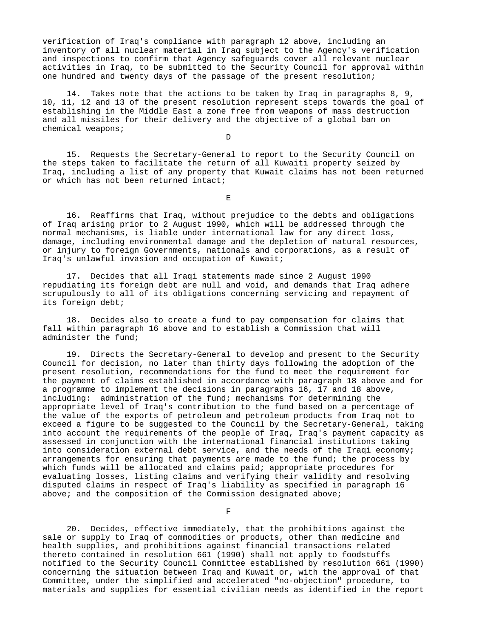verification of Iraq's compliance with paragraph 12 above, including an inventory of all nuclear material in Iraq subject to the Agency's verification and inspections to confirm that Agency safeguards cover all relevant nuclear activities in Iraq, to be submitted to the Security Council for approval within one hundred and twenty days of the passage of the present resolution;

 14. Takes note that the actions to be taken by Iraq in paragraphs 8, 9, 10, 11, 12 and 13 of the present resolution represent steps towards the goal of establishing in the Middle East a zone free from weapons of mass destruction and all missiles for their delivery and the objective of a global ban on chemical weapons;

**D** 

 15. Requests the Secretary-General to report to the Security Council on the steps taken to facilitate the return of all Kuwaiti property seized by Iraq, including a list of any property that Kuwait claims has not been returned or which has not been returned intact;

Experimental products and the contract of the contract of the contract of the contract of the contract of the c

 16. Reaffirms that Iraq, without prejudice to the debts and obligations of Iraq arising prior to 2 August 1990, which will be addressed through the normal mechanisms, is liable under international law for any direct loss, damage, including environmental damage and the depletion of natural resources, or injury to foreign Governments, nationals and corporations, as a result of Iraq's unlawful invasion and occupation of Kuwait;

 17. Decides that all Iraqi statements made since 2 August 1990 repudiating its foreign debt are null and void, and demands that Iraq adhere scrupulously to all of its obligations concerning servicing and repayment of its foreign debt;

 18. Decides also to create a fund to pay compensation for claims that fall within paragraph 16 above and to establish a Commission that will administer the fund;

 19. Directs the Secretary-General to develop and present to the Security Council for decision, no later than thirty days following the adoption of the present resolution, recommendations for the fund to meet the requirement for the payment of claims established in accordance with paragraph 18 above and for a programme to implement the decisions in paragraphs 16, 17 and 18 above, including: administration of the fund; mechanisms for determining the appropriate level of Iraq's contribution to the fund based on a percentage of the value of the exports of petroleum and petroleum products from Iraq not to exceed a figure to be suggested to the Council by the Secretary-General, taking into account the requirements of the people of Iraq, Iraq's payment capacity as assessed in conjunction with the international financial institutions taking into consideration external debt service, and the needs of the Iraqi economy; arrangements for ensuring that payments are made to the fund; the process by which funds will be allocated and claims paid; appropriate procedures for evaluating losses, listing claims and verifying their validity and resolving disputed claims in respect of Iraq's liability as specified in paragraph 16 above; and the composition of the Commission designated above;

Fig. 2. The contract of the contract of the contract of the contract of the contract of the contract of the contract of the contract of the contract of the contract of the contract of the contract of the contract of the co

 20. Decides, effective immediately, that the prohibitions against the sale or supply to Iraq of commodities or products, other than medicine and health supplies, and prohibitions against financial transactions related thereto contained in resolution 661 (1990) shall not apply to foodstuffs notified to the Security Council Committee established by resolution 661 (1990) concerning the situation between Iraq and Kuwait or, with the approval of that Committee, under the simplified and accelerated "no-objection" procedure, to materials and supplies for essential civilian needs as identified in the report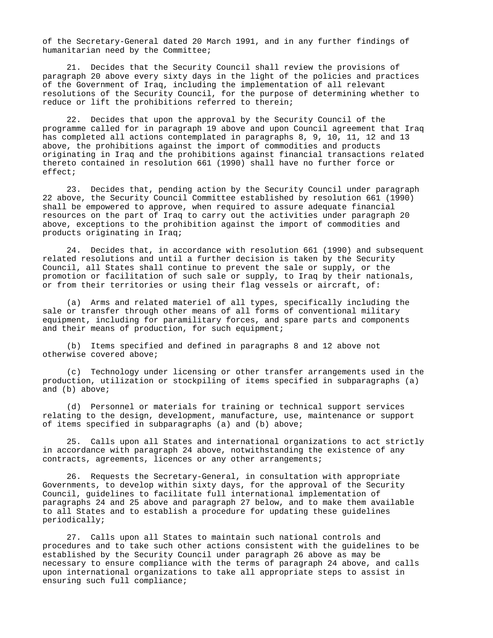of the Secretary-General dated 20 March 1991, and in any further findings of humanitarian need by the Committee;

 21. Decides that the Security Council shall review the provisions of paragraph 20 above every sixty days in the light of the policies and practices of the Government of Iraq, including the implementation of all relevant resolutions of the Security Council, for the purpose of determining whether to reduce or lift the prohibitions referred to therein;

 22. Decides that upon the approval by the Security Council of the programme called for in paragraph 19 above and upon Council agreement that Iraq has completed all actions contemplated in paragraphs 8, 9, 10, 11, 12 and 13 above, the prohibitions against the import of commodities and products originating in Iraq and the prohibitions against financial transactions related thereto contained in resolution 661 (1990) shall have no further force or effect;

 23. Decides that, pending action by the Security Council under paragraph 22 above, the Security Council Committee established by resolution 661 (1990) shall be empowered to approve, when required to assure adequate financial resources on the part of Iraq to carry out the activities under paragraph 20 above, exceptions to the prohibition against the import of commodities and products originating in Iraq;

 24. Decides that, in accordance with resolution 661 (1990) and subsequent related resolutions and until a further decision is taken by the Security Council, all States shall continue to prevent the sale or supply, or the promotion or facilitation of such sale or supply, to Iraq by their nationals, or from their territories or using their flag vessels or aircraft, of:

 (a) Arms and related materiel of all types, specifically including the sale or transfer through other means of all forms of conventional military equipment, including for paramilitary forces, and spare parts and components and their means of production, for such equipment;

 (b) Items specified and defined in paragraphs 8 and 12 above not otherwise covered above;

 (c) Technology under licensing or other transfer arrangements used in the production, utilization or stockpiling of items specified in subparagraphs (a) and (b) above;

 (d) Personnel or materials for training or technical support services relating to the design, development, manufacture, use, maintenance or support of items specified in subparagraphs (a) and (b) above;

 25. Calls upon all States and international organizations to act strictly in accordance with paragraph 24 above, notwithstanding the existence of any contracts, agreements, licences or any other arrangements;

 26. Requests the Secretary-General, in consultation with appropriate Governments, to develop within sixty days, for the approval of the Security Council, guidelines to facilitate full international implementation of paragraphs 24 and 25 above and paragraph 27 below, and to make them available to all States and to establish a procedure for updating these guidelines periodically;

 27. Calls upon all States to maintain such national controls and procedures and to take such other actions consistent with the guidelines to be established by the Security Council under paragraph 26 above as may be necessary to ensure compliance with the terms of paragraph 24 above, and calls upon international organizations to take all appropriate steps to assist in ensuring such full compliance;